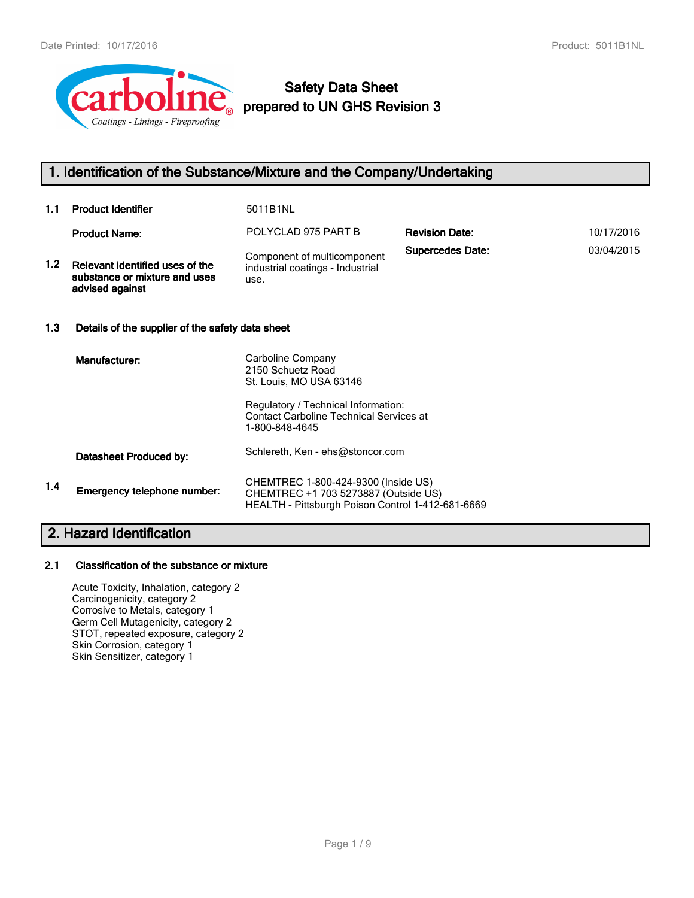

# **Safety Data Sheet prepared to UN GHS Revision 3**

# **1. Identification of the Substance/Mixture and the Company/Undertaking**

| 1.1              | <b>Product Identifier</b>                                                           | 5011B1NL                                                                                                                         |                         |            |
|------------------|-------------------------------------------------------------------------------------|----------------------------------------------------------------------------------------------------------------------------------|-------------------------|------------|
|                  | <b>Product Name:</b>                                                                | POLYCLAD 975 PART B                                                                                                              | <b>Revision Date:</b>   | 10/17/2016 |
| 1.2 <sub>1</sub> | Relevant identified uses of the<br>substance or mixture and uses<br>advised against | Component of multicomponent<br>industrial coatings - Industrial<br>use.                                                          | <b>Supercedes Date:</b> | 03/04/2015 |
| 1.3              | Details of the supplier of the safety data sheet                                    |                                                                                                                                  |                         |            |
|                  | Manufacturer:                                                                       | Carboline Company<br>2150 Schuetz Road<br>St. Louis, MO USA 63146                                                                |                         |            |
|                  |                                                                                     | Regulatory / Technical Information:<br><b>Contact Carboline Technical Services at</b><br>1-800-848-4645                          |                         |            |
|                  | Datasheet Produced by:                                                              | Schlereth, Ken - ehs@stoncor.com                                                                                                 |                         |            |
| 1.4              | Emergency telephone number:                                                         | CHEMTREC 1-800-424-9300 (Inside US)<br>CHEMTREC +1 703 5273887 (Outside US)<br>HEALTH - Pittsburgh Poison Control 1-412-681-6669 |                         |            |

# **2. Hazard Identification**

## **2.1 Classification of the substance or mixture**

Acute Toxicity, Inhalation, category 2 Carcinogenicity, category 2 Corrosive to Metals, category 1 Germ Cell Mutagenicity, category 2 STOT, repeated exposure, category 2 Skin Corrosion, category 1 Skin Sensitizer, category 1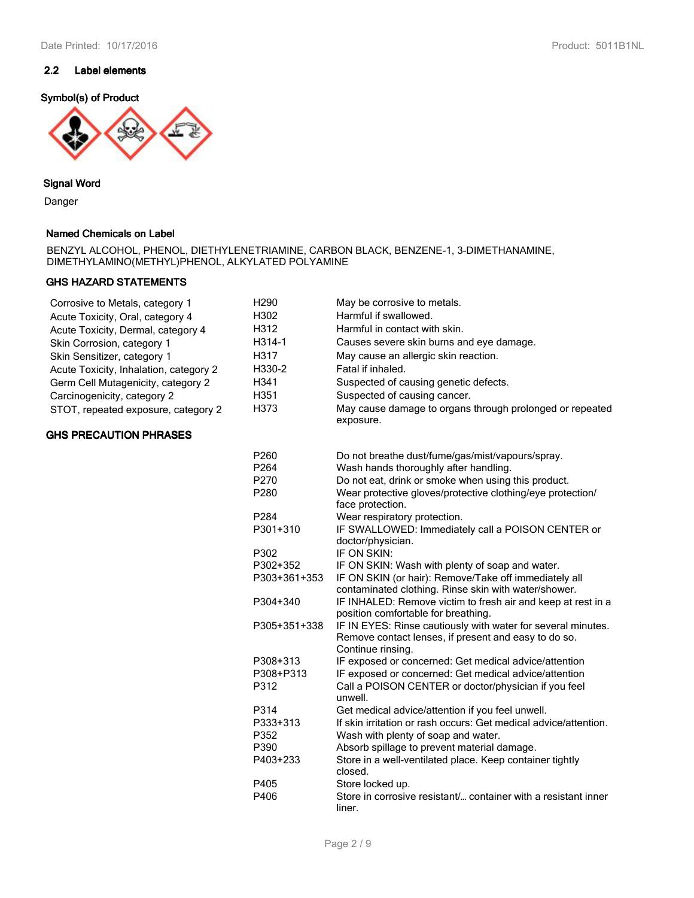## **2.2 Label elements**

## **Symbol(s) of Product**



## **Signal Word**

Danger

## **Named Chemicals on Label**

BENZYL ALCOHOL, PHENOL, DIETHYLENETRIAMINE, CARBON BLACK, BENZENE-1, 3-DIMETHANAMINE, DIMETHYLAMINO(METHYL)PHENOL, ALKYLATED POLYAMINE

## **GHS HAZARD STATEMENTS**

| Corrosive to Metals, category 1        | H290         | May be corrosive to metals.                                                                                                               |
|----------------------------------------|--------------|-------------------------------------------------------------------------------------------------------------------------------------------|
| Acute Toxicity, Oral, category 4       | H302         | Harmful if swallowed.                                                                                                                     |
| Acute Toxicity, Dermal, category 4     | H312         | Harmful in contact with skin.                                                                                                             |
| Skin Corrosion, category 1             | H314-1       | Causes severe skin burns and eye damage.                                                                                                  |
| Skin Sensitizer, category 1            | H317         | May cause an allergic skin reaction.                                                                                                      |
| Acute Toxicity, Inhalation, category 2 | H330-2       | Fatal if inhaled.                                                                                                                         |
| Germ Cell Mutagenicity, category 2     | H341         | Suspected of causing genetic defects.                                                                                                     |
| Carcinogenicity, category 2            | H351         | Suspected of causing cancer.                                                                                                              |
| STOT, repeated exposure, category 2    | H373         | May cause damage to organs through prolonged or repeated<br>exposure.                                                                     |
| <b>GHS PRECAUTION PHRASES</b>          |              |                                                                                                                                           |
|                                        | P260         | Do not breathe dust/fume/gas/mist/vapours/spray.                                                                                          |
|                                        | P264         | Wash hands thoroughly after handling.                                                                                                     |
|                                        | P270         | Do not eat, drink or smoke when using this product.                                                                                       |
|                                        | P280         | Wear protective gloves/protective clothing/eye protection/<br>face protection.                                                            |
|                                        | P284         | Wear respiratory protection.                                                                                                              |
|                                        | P301+310     | IF SWALLOWED: Immediately call a POISON CENTER or<br>doctor/physician.                                                                    |
|                                        | P302         | IF ON SKIN:                                                                                                                               |
|                                        | P302+352     | IF ON SKIN: Wash with plenty of soap and water.                                                                                           |
|                                        | P303+361+353 | IF ON SKIN (or hair): Remove/Take off immediately all                                                                                     |
|                                        |              | contaminated clothing. Rinse skin with water/shower.                                                                                      |
|                                        | P304+340     | IF INHALED: Remove victim to fresh air and keep at rest in a                                                                              |
|                                        |              | position comfortable for breathing.                                                                                                       |
|                                        | P305+351+338 | IF IN EYES: Rinse cautiously with water for several minutes.<br>Remove contact lenses, if present and easy to do so.<br>Continue rinsing. |
|                                        | P308+313     | IF exposed or concerned: Get medical advice/attention                                                                                     |
|                                        | P308+P313    | IF exposed or concerned: Get medical advice/attention                                                                                     |
|                                        | P312         | Call a POISON CENTER or doctor/physician if you feel<br>unwell.                                                                           |
|                                        | P314         | Get medical advice/attention if you feel unwell.                                                                                          |
|                                        | P333+313     | If skin irritation or rash occurs: Get medical advice/attention.                                                                          |
|                                        | P352         | Wash with plenty of soap and water.                                                                                                       |
|                                        | P390         | Absorb spillage to prevent material damage.                                                                                               |
|                                        | P403+233     | Store in a well-ventilated place. Keep container tightly<br>closed.                                                                       |
|                                        | P405         | Store locked up.                                                                                                                          |
|                                        | P406         | Store in corrosive resistant/ container with a resistant inner<br>liner.                                                                  |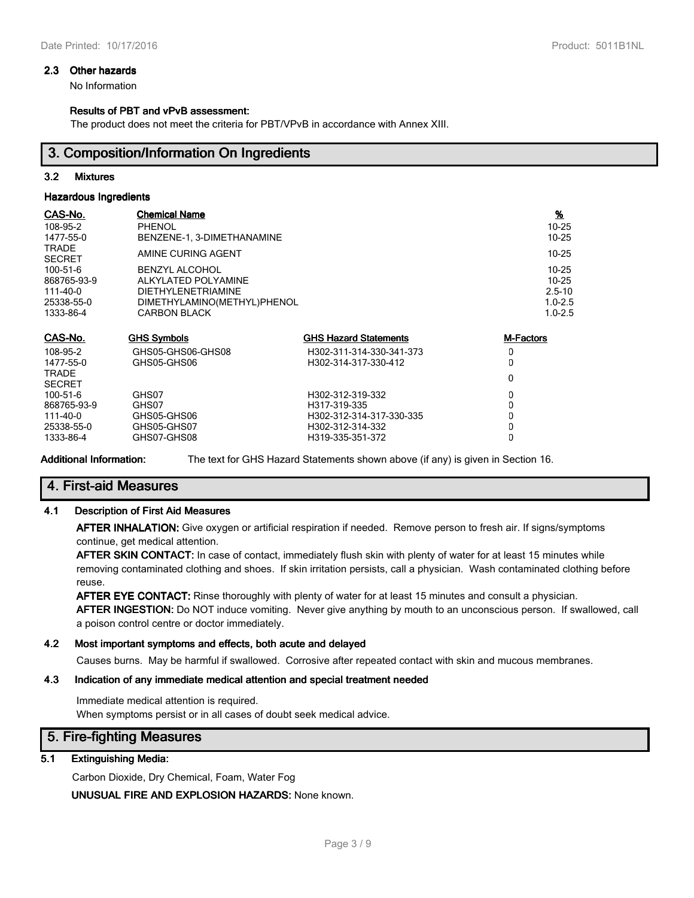## **2.3 Other hazards**

No Information

## **Results of PBT and vPvB assessment:**

The product does not meet the criteria for PBT/VPvB in accordance with Annex XIII.

## **3. Composition/Information On Ingredients**

## **3.2 Mixtures**

### **Hazardous Ingredients**

| CAS-No.<br>108-95-2<br>1477-55-0                                           | <b>Chemical Name</b><br><b>PHENOL</b><br>BENZENE-1, 3-DIMETHANAMINE                                                             |                              | <u>%</u><br>$10 - 25$<br>$10 - 25$                                 |
|----------------------------------------------------------------------------|---------------------------------------------------------------------------------------------------------------------------------|------------------------------|--------------------------------------------------------------------|
| <b>TRADE</b><br><b>SECRET</b>                                              | AMINE CURING AGENT                                                                                                              |                              | $10 - 25$                                                          |
| $100 - 51 - 6$<br>868765-93-9<br>$111 - 40 - 0$<br>25338-55-0<br>1333-86-4 | <b>BENZYL ALCOHOL</b><br>ALKYLATED POLYAMINE<br><b>DIETHYLENETRIAMINE</b><br>DIMETHYLAMINO(METHYL)PHENOL<br><b>CARBON BLACK</b> |                              | $10 - 25$<br>$10 - 25$<br>$2.5 - 10$<br>$1.0 - 2.5$<br>$1.0 - 2.5$ |
| CAS-No.                                                                    | <b>GHS Symbols</b>                                                                                                              | <b>GHS Hazard Statements</b> | <b>M-Factors</b>                                                   |
| 108-95-2                                                                   | GHS05-GHS06-GHS08                                                                                                               | H302-311-314-330-341-373     | 0                                                                  |
| 1477-55-0                                                                  | GHS05-GHS06                                                                                                                     | H302-314-317-330-412         | 0                                                                  |
| <b>TRADE</b><br><b>SECRET</b>                                              |                                                                                                                                 |                              | 0                                                                  |
| 100-51-6                                                                   | GHS07                                                                                                                           | H302-312-319-332             | 0                                                                  |
| 868765-93-9                                                                | GHS07                                                                                                                           | H317-319-335                 | 0                                                                  |
| $111 - 40 - 0$                                                             | GHS05-GHS06                                                                                                                     | H302-312-314-317-330-335     | 0                                                                  |
| 25338-55-0                                                                 | GHS05-GHS07                                                                                                                     | H302-312-314-332             | 0                                                                  |
| 1333-86-4                                                                  | GHS07-GHS08                                                                                                                     | H319-335-351-372             | 0                                                                  |

**Additional Information:** The text for GHS Hazard Statements shown above (if any) is given in Section 16.

# **4. First-aid Measures**

## **4.1 Description of First Aid Measures**

**AFTER INHALATION:** Give oxygen or artificial respiration if needed. Remove person to fresh air. If signs/symptoms continue, get medical attention.

**AFTER SKIN CONTACT:** In case of contact, immediately flush skin with plenty of water for at least 15 minutes while removing contaminated clothing and shoes. If skin irritation persists, call a physician. Wash contaminated clothing before reuse.

**AFTER EYE CONTACT:** Rinse thoroughly with plenty of water for at least 15 minutes and consult a physician. **AFTER INGESTION:** Do NOT induce vomiting. Never give anything by mouth to an unconscious person. If swallowed, call a poison control centre or doctor immediately.

## **4.2 Most important symptoms and effects, both acute and delayed**

Causes burns. May be harmful if swallowed. Corrosive after repeated contact with skin and mucous membranes.

## **4.3 Indication of any immediate medical attention and special treatment needed**

Immediate medical attention is required. When symptoms persist or in all cases of doubt seek medical advice.

# **5. Fire-fighting Measures**

## **5.1 Extinguishing Media:**

Carbon Dioxide, Dry Chemical, Foam, Water Fog

**UNUSUAL FIRE AND EXPLOSION HAZARDS:** None known.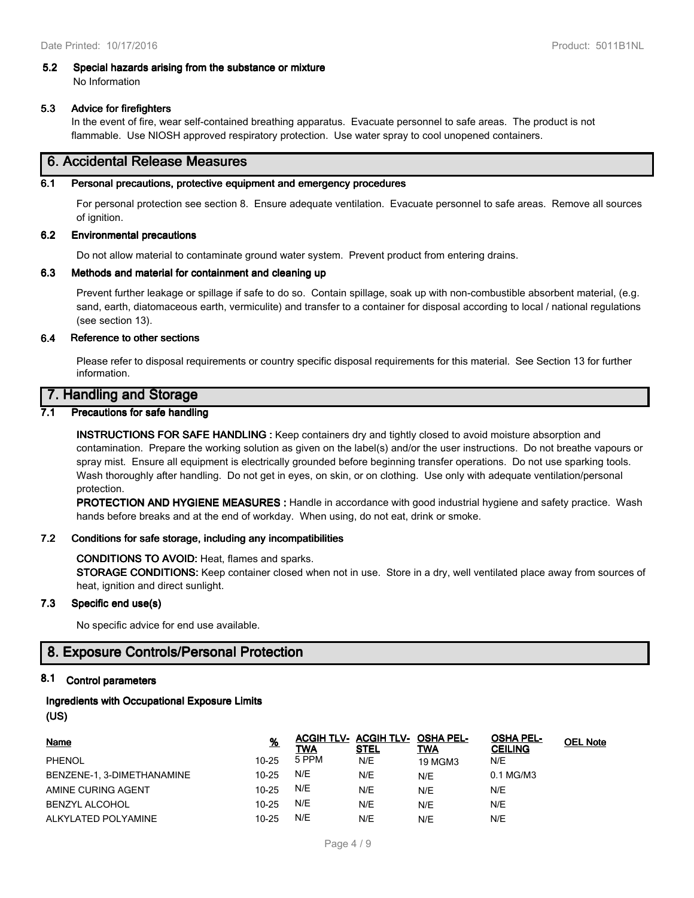# **5.2 Special hazards arising from the substance or mixture**

No Information

## **5.3 Advice for firefighters**

In the event of fire, wear self-contained breathing apparatus. Evacuate personnel to safe areas. The product is not flammable. Use NIOSH approved respiratory protection. Use water spray to cool unopened containers.

# **6. Accidental Release Measures**

## **6.1 Personal precautions, protective equipment and emergency procedures**

For personal protection see section 8. Ensure adequate ventilation. Evacuate personnel to safe areas. Remove all sources of ignition.

## **6.2 Environmental precautions**

Do not allow material to contaminate ground water system. Prevent product from entering drains.

## **6.3 Methods and material for containment and cleaning up**

Prevent further leakage or spillage if safe to do so. Contain spillage, soak up with non-combustible absorbent material, (e.g. sand, earth, diatomaceous earth, vermiculite) and transfer to a container for disposal according to local / national regulations (see section 13).

## **6.4 Reference to other sections**

Please refer to disposal requirements or country specific disposal requirements for this material. See Section 13 for further information.

# **7. Handling and Storage**

## **7.1 Precautions for safe handling**

**INSTRUCTIONS FOR SAFE HANDLING :** Keep containers dry and tightly closed to avoid moisture absorption and contamination. Prepare the working solution as given on the label(s) and/or the user instructions. Do not breathe vapours or spray mist. Ensure all equipment is electrically grounded before beginning transfer operations. Do not use sparking tools. Wash thoroughly after handling. Do not get in eyes, on skin, or on clothing. Use only with adequate ventilation/personal protection.

**PROTECTION AND HYGIENE MEASURES :** Handle in accordance with good industrial hygiene and safety practice. Wash hands before breaks and at the end of workday. When using, do not eat, drink or smoke.

## **7.2 Conditions for safe storage, including any incompatibilities**

## **CONDITIONS TO AVOID:** Heat, flames and sparks.

**STORAGE CONDITIONS:** Keep container closed when not in use. Store in a dry, well ventilated place away from sources of heat, ignition and direct sunlight.

## **7.3 Specific end use(s)**

No specific advice for end use available.

# **8. Exposure Controls/Personal Protection**

## **8.1 Control parameters**

# **Ingredients with Occupational Exposure Limits**

**(US)**

| <b>Name</b>                | <u>%</u>  | <b>TWA</b> | <b>ACGIH TLV- ACGIH TLV- OSHA PEL-</b><br><b>STEL</b> | TWA            | <b>OSHA PEL-</b><br><b>CEILING</b> | <b>OEL Note</b> |
|----------------------------|-----------|------------|-------------------------------------------------------|----------------|------------------------------------|-----------------|
| <b>PHENOL</b>              | $10 - 25$ | 5 PPM      | N/E                                                   | <b>19 MGM3</b> | N/E                                |                 |
| BENZENE-1, 3-DIMETHANAMINE | $10 - 25$ | N/E        | N/E                                                   | N/E            | 0.1 MG/M3                          |                 |
| AMINE CURING AGENT         | $10 - 25$ | N/E        | N/E                                                   | N/E            | N/E                                |                 |
| <b>BENZYL ALCOHOL</b>      | $10 - 25$ | N/E        | N/E                                                   | N/E            | N/E                                |                 |
| ALKYLATED POLYAMINE        | $10 - 25$ | N/E        | N/E                                                   | N/E            | N/E                                |                 |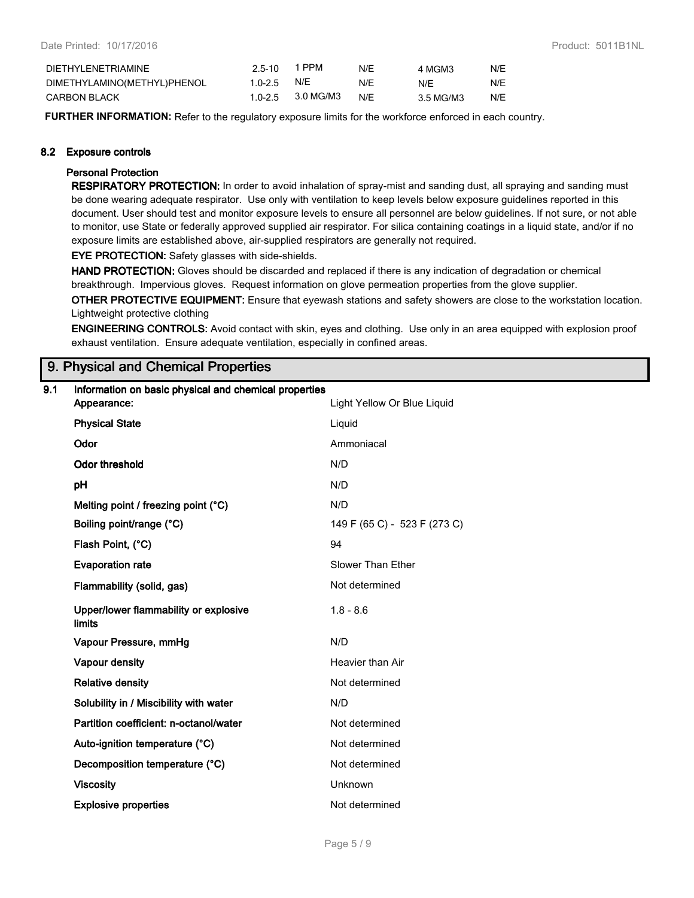| DIETHYLENETRIAMINE          | $2.5 - 10$  | 1 PPM             | N/E | 4 MGM3    | N/E |
|-----------------------------|-------------|-------------------|-----|-----------|-----|
| DIMETHYLAMINO(METHYL)PHENOL | 1.0-2.5 N/E |                   | N/F | N/F       | N/E |
| <b>CARBON BLACK</b>         |             | 1.0-2.5 3.0 MG/M3 | N/F | 3.5 MG/M3 | N/E |

**FURTHER INFORMATION:** Refer to the regulatory exposure limits for the workforce enforced in each country.

## **8.2 Exposure controls**

## **Personal Protection**

**RESPIRATORY PROTECTION:** In order to avoid inhalation of spray-mist and sanding dust, all spraying and sanding must be done wearing adequate respirator. Use only with ventilation to keep levels below exposure guidelines reported in this document. User should test and monitor exposure levels to ensure all personnel are below guidelines. If not sure, or not able to monitor, use State or federally approved supplied air respirator. For silica containing coatings in a liquid state, and/or if no exposure limits are established above, air-supplied respirators are generally not required.

**EYE PROTECTION:** Safety glasses with side-shields.

**HAND PROTECTION:** Gloves should be discarded and replaced if there is any indication of degradation or chemical breakthrough. Impervious gloves. Request information on glove permeation properties from the glove supplier.

**OTHER PROTECTIVE EQUIPMENT:** Ensure that eyewash stations and safety showers are close to the workstation location. Lightweight protective clothing

**ENGINEERING CONTROLS:** Avoid contact with skin, eyes and clothing. Use only in an area equipped with explosion proof exhaust ventilation. Ensure adequate ventilation, especially in confined areas.

# **9. Physical and Chemical Properties**

| 9.1 | Information on basic physical and chemical properties |                              |
|-----|-------------------------------------------------------|------------------------------|
|     | Appearance:                                           | Light Yellow Or Blue Liquid  |
|     | <b>Physical State</b>                                 | Liquid                       |
|     | Odor                                                  | Ammoniacal                   |
|     | <b>Odor threshold</b>                                 | N/D                          |
|     | pH                                                    | N/D                          |
|     | Melting point / freezing point (°C)                   | N/D                          |
|     | Boiling point/range (°C)                              | 149 F (65 C) - 523 F (273 C) |
|     | Flash Point, (°C)                                     | 94                           |
|     | <b>Evaporation rate</b>                               | Slower Than Ether            |
|     | Flammability (solid, gas)                             | Not determined               |
|     | Upper/lower flammability or explosive<br>limits       | $1.8 - 8.6$                  |
|     | Vapour Pressure, mmHg                                 | N/D                          |
|     | Vapour density                                        | Heavier than Air             |
|     | <b>Relative density</b>                               | Not determined               |
|     | Solubility in / Miscibility with water                | N/D                          |
|     | Partition coefficient: n-octanol/water                | Not determined               |
|     | Auto-ignition temperature (°C)                        | Not determined               |
|     | Decomposition temperature (°C)                        | Not determined               |
|     | <b>Viscosity</b>                                      | Unknown                      |
|     | <b>Explosive properties</b>                           | Not determined               |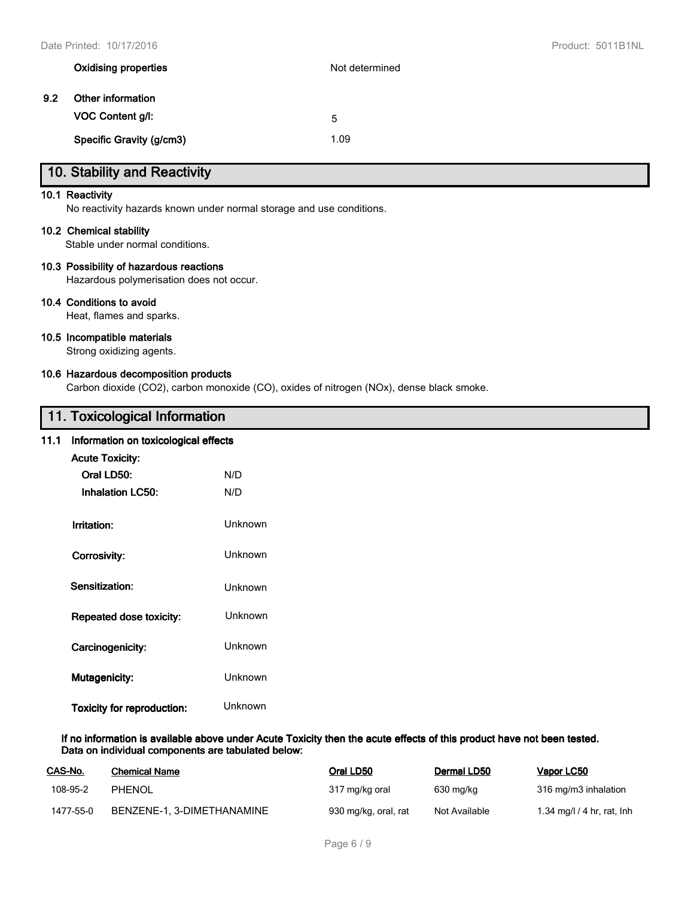|     | <b>Oxidising properties</b> | Not determined |
|-----|-----------------------------|----------------|
| 9.2 | Other information           |                |
|     | VOC Content g/l:            | 5              |
|     | Specific Gravity (g/cm3)    | 1.09           |

# **10. Stability and Reactivity**

## **10.1 Reactivity**

No reactivity hazards known under normal storage and use conditions.

## **10.2 Chemical stability**

Stable under normal conditions.

## **10.3 Possibility of hazardous reactions**

Hazardous polymerisation does not occur.

## **10.4 Conditions to avoid**

Heat, flames and sparks.

## **10.5 Incompatible materials**

Strong oxidizing agents.

## **10.6 Hazardous decomposition products**

Carbon dioxide (CO2), carbon monoxide (CO), oxides of nitrogen (NOx), dense black smoke.

# **11. Toxicological Information**

## **11.1 Information on toxicological effects**

| <b>Acute Toxicity:</b>     |                |
|----------------------------|----------------|
| Oral LD50:                 | N/D            |
| <b>Inhalation LC50:</b>    | N/D            |
|                            |                |
| Irritation:                | Unknown        |
|                            | <b>Unknown</b> |
| Corrosivity:               |                |
| <b>Sensitization:</b>      | Unknown        |
|                            |                |
| Repeated dose toxicity:    | Unknown        |
| Carcinogenicity:           | Unknown        |
|                            |                |
| <b>Mutagenicity:</b>       | Unknown        |
|                            |                |
| Toxicity for reproduction: | Unknown        |

## **If no information is available above under Acute Toxicity then the acute effects of this product have not been tested. Data on individual components are tabulated below:**

| CAS-No.   | <b>Chemical Name</b>       | Oral LD50            | Dermal LD50   | Vapor LC50                 |
|-----------|----------------------------|----------------------|---------------|----------------------------|
| 108-95-2  | <b>PHENOL</b>              | 317 mg/kg oral       | 630 mg/kg     | 316 mg/m3 inhalation       |
| 1477-55-0 | BENZENE-1, 3-DIMETHANAMINE | 930 mg/kg, oral, rat | Not Available | 1.34 mg/l / 4 hr, rat, lnh |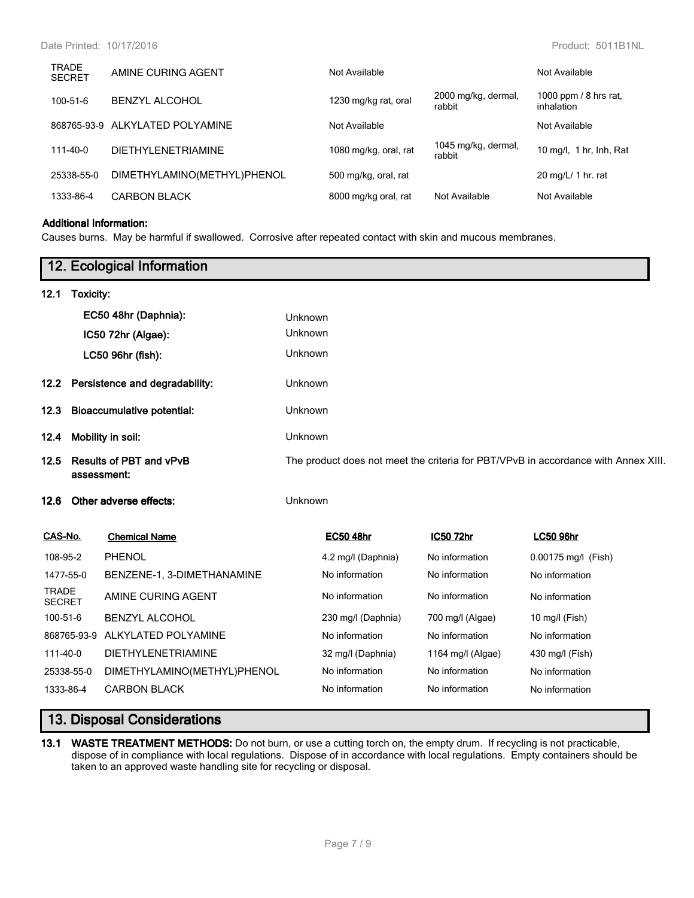| 1000 ppm / 8 hrs rat,<br>2000 mg/kg, dermal,<br>1230 mg/kg rat, oral<br>100-51-6<br><b>BENZYL ALCOHOL</b><br>rabbit<br>inhalation<br>868765-93-9 ALKYLATED POLYAMINE<br>Not Available<br>Not Available<br>1045 mg/kg, dermal,<br>1080 mg/kg, oral, rat<br><b>DIETHYLENETRIAMINE</b><br>$111 - 40 - 0$<br>rabbit<br>DIMETHYLAMINO(METHYL)PHENOL<br>500 mg/kg, oral, rat<br>20 mg/L/ 1 hr. rat<br>25338-55-0<br><b>CARBON BLACK</b><br>1333-86-4<br>8000 mg/kg oral, rat<br>Not Available<br>Not Available | <b>TRADE</b><br><b>SECRET</b> | AMINE CURING AGENT | Not Available | Not Available           |
|----------------------------------------------------------------------------------------------------------------------------------------------------------------------------------------------------------------------------------------------------------------------------------------------------------------------------------------------------------------------------------------------------------------------------------------------------------------------------------------------------------|-------------------------------|--------------------|---------------|-------------------------|
|                                                                                                                                                                                                                                                                                                                                                                                                                                                                                                          |                               |                    |               |                         |
|                                                                                                                                                                                                                                                                                                                                                                                                                                                                                                          |                               |                    |               |                         |
|                                                                                                                                                                                                                                                                                                                                                                                                                                                                                                          |                               |                    |               | 10 mg/l, 1 hr, lnh, Rat |
|                                                                                                                                                                                                                                                                                                                                                                                                                                                                                                          |                               |                    |               |                         |
|                                                                                                                                                                                                                                                                                                                                                                                                                                                                                                          |                               |                    |               |                         |

## **Additional Information:**

Causes burns. May be harmful if swallowed. Corrosive after repeated contact with skin and mucous membranes.

|                               |           | 12. Ecological Information                    |         |                    |                   |                                                                                    |
|-------------------------------|-----------|-----------------------------------------------|---------|--------------------|-------------------|------------------------------------------------------------------------------------|
| 12.1                          | Toxicity: |                                               |         |                    |                   |                                                                                    |
|                               |           | EC50 48hr (Daphnia):                          | Unknown |                    |                   |                                                                                    |
|                               |           | IC50 72hr (Algae):                            | Unknown |                    |                   |                                                                                    |
|                               |           | LC50 96hr (fish):                             | Unknown |                    |                   |                                                                                    |
| 12.2 <sub>1</sub>             |           | Persistence and degradability:                | Unknown |                    |                   |                                                                                    |
| 12.3                          |           | <b>Bioaccumulative potential:</b>             | Unknown |                    |                   |                                                                                    |
| 12.4                          |           | Mobility in soil:                             | Unknown |                    |                   |                                                                                    |
| 12.5                          |           | <b>Results of PBT and vPvB</b><br>assessment: |         |                    |                   | The product does not meet the criteria for PBT/VPvB in accordance with Annex XIII. |
| 12.6                          |           | Other adverse effects:                        | Unknown |                    |                   |                                                                                    |
| CAS-No.                       |           | <b>Chemical Name</b>                          |         | <b>EC50 48hr</b>   | <b>IC50 72hr</b>  | <b>LC50 96hr</b>                                                                   |
| 108-95-2                      |           | <b>PHENOL</b>                                 |         | 4.2 mg/l (Daphnia) | No information    | 0.00175 mg/l (Fish)                                                                |
| 1477-55-0                     |           | BENZENE-1, 3-DIMETHANAMINE                    |         | No information     | No information    | No information                                                                     |
| <b>TRADE</b><br><b>SECRET</b> |           | AMINE CURING AGENT                            |         | No information     | No information    | No information                                                                     |
| 100-51-6                      |           | <b>BENZYL ALCOHOL</b>                         |         | 230 mg/l (Daphnia) | 700 mg/l (Algae)  | 10 mg/l (Fish)                                                                     |
| 868765-93-9                   |           | ALKYLATED POLYAMINE                           |         | No information     | No information    | No information                                                                     |
| 111-40-0                      |           | <b>DIETHYLENETRIAMINE</b>                     |         | 32 mg/l (Daphnia)  | 1164 mg/l (Algae) | 430 mg/l (Fish)                                                                    |
| 25338-55-0                    |           | DIMETHYLAMINO(METHYL)PHENOL                   |         | No information     | No information    | No information                                                                     |
| 1333-86-4                     |           | <b>CARBON BLACK</b>                           |         | No information     | No information    | No information                                                                     |

# **13. Disposal Considerations**

**13.1 WASTE TREATMENT METHODS:** Do not burn, or use a cutting torch on, the empty drum. If recycling is not practicable, dispose of in compliance with local regulations. Dispose of in accordance with local regulations. Empty containers should be taken to an approved waste handling site for recycling or disposal.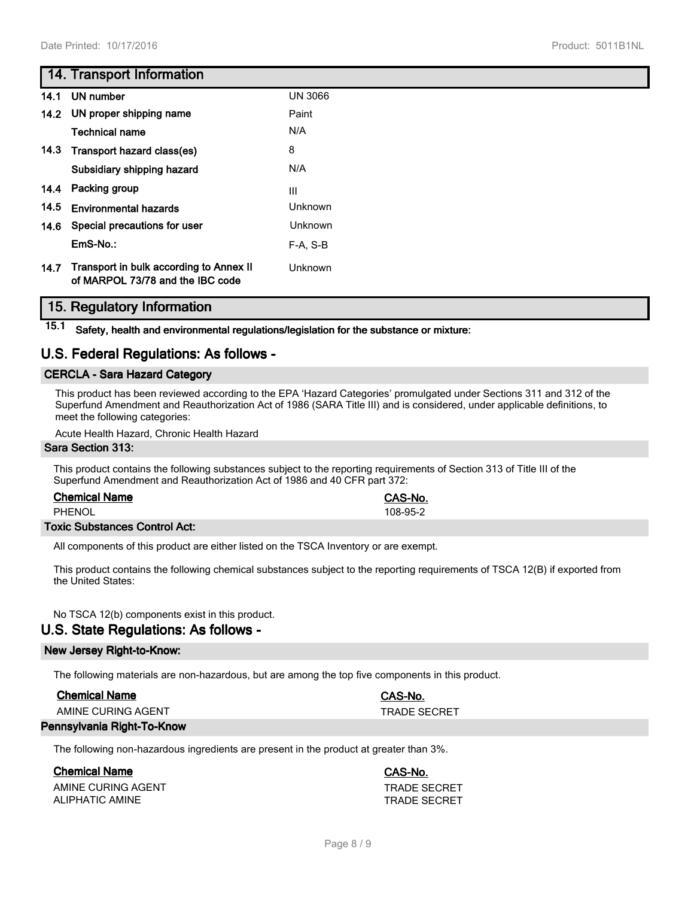# **14. Transport Information**

|      | 14.1 UN number                                                              | <b>UN 3066</b> |
|------|-----------------------------------------------------------------------------|----------------|
|      | 14.2 UN proper shipping name                                                | Paint          |
|      | <b>Technical name</b>                                                       | N/A            |
|      | 14.3 Transport hazard class(es)                                             | 8              |
|      | Subsidiary shipping hazard                                                  | N/A            |
|      | 14.4 Packing group                                                          | III            |
| 14.5 | <b>Environmental hazards</b>                                                | Unknown        |
|      | 14.6 Special precautions for user                                           | Unknown        |
|      | EmS-No.:                                                                    | $F-A. S-B$     |
| 14.7 | Transport in bulk according to Annex II<br>of MARPOL 73/78 and the IBC code | Unknown        |

# **15. Regulatory Information**

**15.1 Safety, health and environmental regulations/legislation for the substance or mixture:**

# **U.S. Federal Regulations: As follows -**

## **CERCLA - Sara Hazard Category**

This product has been reviewed according to the EPA 'Hazard Categories' promulgated under Sections 311 and 312 of the Superfund Amendment and Reauthorization Act of 1986 (SARA Title III) and is considered, under applicable definitions, to meet the following categories:

Acute Health Hazard, Chronic Health Hazard

### **Sara Section 313:**

This product contains the following substances subject to the reporting requirements of Section 313 of Title III of the Superfund Amendment and Reauthorization Act of 1986 and 40 CFR part 372:

## **Chemical Name CAS-No.**

PHENOL 108-95-2

## **Toxic Substances Control Act:**

All components of this product are either listed on the TSCA Inventory or are exempt.

This product contains the following chemical substances subject to the reporting requirements of TSCA 12(B) if exported from the United States:

No TSCA 12(b) components exist in this product.

# **U.S. State Regulations: As follows -**

# **New Jersey Right-to-Know:**

The following materials are non-hazardous, but are among the top five components in this product.

| <b>Chemical Name</b>       | CAS-No.      |
|----------------------------|--------------|
| AMINE CURING AGENT         | TRADE SECRET |
| Pennsylvania Right-To-Know |              |

The following non-hazardous ingredients are present in the product at greater than 3%.

# **Chemical Name CAS-No.**

AMINE CURING AGENT<br>ALIPHATIC AMINE<br>TRADE SECRET **ALIPHATIC AMINE**